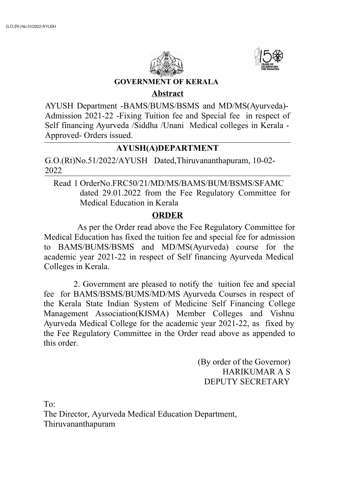



**GOVERNMENT OF KERALA**

## **Abstract**

AYUSH Department -BAMS/BUMS/BSMS and MD/MS(Ayurveda)- Admission 2021-22 -Fixing Tuition fee and Special fee in respect of Self financing Ayurveda /Siddha /Unani Medical colleges in Kerala - Approved- Orders issued.

## **AYUSH(A)DEPARTMENT**

G.O.(Rt)No.51/2022/AYUSH Dated,Thiruvananthapuram, 10-02- 2022

Read 1 OrderNo.FRC50/21/MD/MS/BAMS/BUM/BSMS/SFAMC dated 29.01.2022 from the Fee Regulatory Committee for Medical Education in Kerala

## **ORDER**

As per the Order read above the Fee Regulatory Committee for Medical Education has fixed the tuition fee and special fee for admission to BAMS/BUMS/BSMS and MD/MS(Ayurveda) course for the academic year 2021-22 in respect of Self financing Ayurveda Medical Colleges in Kerala.

2. Government are pleased to notify the tuition fee and special fee for BAMS/BSMS/BUMS/MD/MS Ayurveda Courses in respect of the Kerala State Indian System of Medicine Self Financing College Management Association(KISMA) Member Colleges and Vishnu Ayurveda Medical College for the academic year 2021-22, as fixed by the Fee Regulatory Committee in the Order read above as appended to this order.

> (By order of the Governor) HARIKUMAR A S DEPUTY SECRETARY

To: The Director, Ayurveda Medical Education Department, Thiruvananthapuram